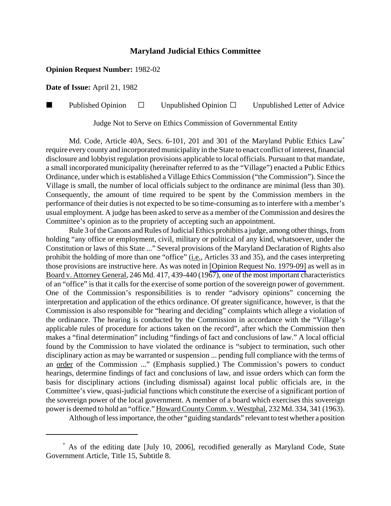## **Maryland Judicial Ethics Committee**

## **Opinion Request Number:** 1982-02

**Date of Issue:** April 21, 1982

Published Opinion  $\Box$  Unpublished Opinion  $\Box$  Unpublished Letter of Advice

Judge Not to Serve on Ethics Commission of Governmental Entity

Md. Code, Article 40A, Secs. 6-101, 201 and 301 of the Maryland Public Ethics Law<sup>\*</sup> require every county and incorporated municipality in the State to enact conflict of interest, financial disclosure and lobbyist regulation provisions applicable to local officials. Pursuant to that mandate, a small incorporated municipality (hereinafter referred to as the "Village") enacted a Public Ethics Ordinance, under which is established a Village Ethics Commission ("the Commission"). Since the Village is small, the number of local officials subject to the ordinance are minimal (less than 30). Consequently, the amount of time required to be spent by the Commission members in the performance of their duties is not expected to be so time-consuming as to interfere with a member's usual employment. A judge has been asked to serve as a member of the Commission and desires the Committee's opinion as to the propriety of accepting such an appointment.

Rule 3 of the Canons and Rules of Judicial Ethics prohibits a judge, among other things, from holding "any office or employment, civil, military or political of any kind, whatsoever, under the Constitution or laws of this State ..." Several provisions of the Maryland Declaration of Rights also prohibit the holding of more than one "office" (i.e., Articles 33 and 35), and the cases interpreting those provisions are instructive here. As was noted in [\[Opinion Request No. 1979-09\]](http://www.mdcourts.gov/ethics/pdfs/1979-09.pdf) as well as in Board v. Attorney General, 246 Md. 417, 439-440 (1967), one of the most important characteristics of an "office" is that it calls for the exercise of some portion of the sovereign power of government. One of the Commission's responsibilities is to render "advisory opinions" concerning the interpretation and application of the ethics ordinance. Of greater significance, however, is that the Commission is also responsible for "hearing and deciding" complaints which allege a violation of the ordinance. The hearing is conducted by the Commission in accordance with the "Village's applicable rules of procedure for actions taken on the record", after which the Commission then makes a "final determination" including "findings of fact and conclusions of law." A local official found by the Commission to have violated the ordinance is "subject to termination, such other disciplinary action as may be warranted or suspension ... pending full compliance with the terms of an order of the Commission ..." (Emphasis supplied.) The Commission's powers to conduct hearings, determine findings of fact and conclusions of law, and issue orders which can form the basis for disciplinary actions (including dismissal) against local public officials are, in the Committee's view, quasi-judicial functions which constitute the exercise of a significant portion of the sovereign power of the local government. A member of a board which exercises this sovereign power is deemed to hold an "office." Howard County Comm. v. Westphal, 232 Md. 334, 341 (1963).

Although of less importance, the other "guiding standards" relevant to test whether a position

 <sup>\*</sup> As of the editing date [July 10, 2006], recodified generally as Maryland Code, State Government Article, Title 15, Subtitle 8.